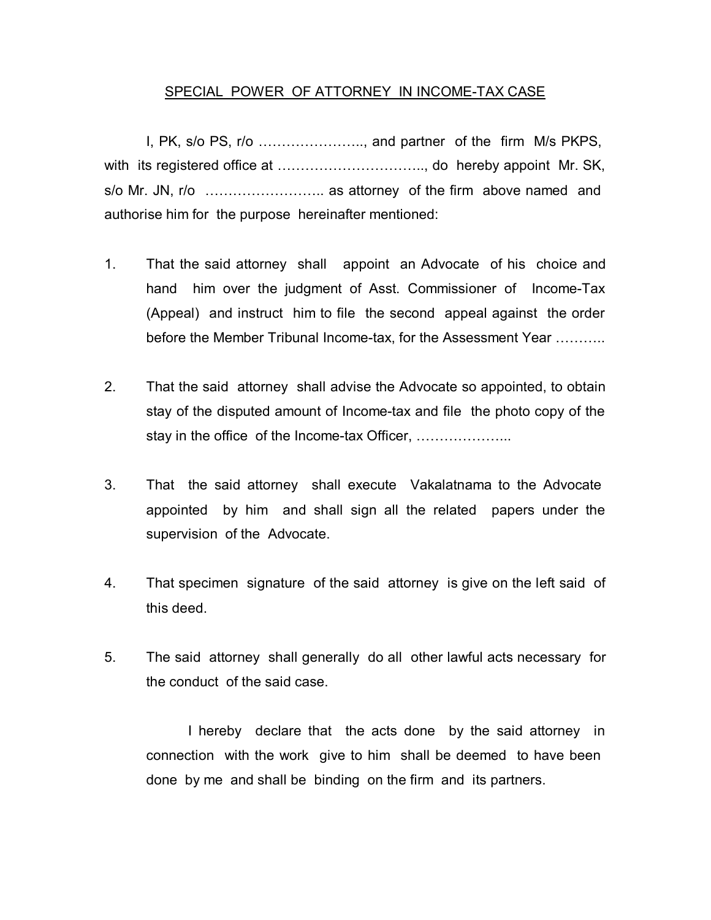## SPECIAL POWER OF ATTORNEY IN INCOME-TAX CASE

 I, PK, s/o PS, r/o ………………….., and partner of the firm M/s PKPS, with its registered office at ................................., do hereby appoint Mr. SK, s/o Mr. JN, r/o …………………….. as attorney of the firm above named and authorise him for the purpose hereinafter mentioned:

- 1. That the said attorney shall appoint an Advocate of his choice and hand him over the judgment of Asst. Commissioner of Income-Tax (Appeal) and instruct him to file the second appeal against the order before the Member Tribunal Income-tax, for the Assessment Year ………..
- 2. That the said attorney shall advise the Advocate so appointed, to obtain stay of the disputed amount of Income-tax and file the photo copy of the stay in the office of the Income-tax Officer, ………………...
- 3. That the said attorney shall execute Vakalatnama to the Advocate appointed by him and shall sign all the related papers under the supervision of the Advocate.
- 4. That specimen signature of the said attorney is give on the left said of this deed.
- 5. The said attorney shall generally do all other lawful acts necessary for the conduct of the said case.

I hereby declare that the acts done by the said attorney in connection with the work give to him shall be deemed to have been done by me and shall be binding on the firm and its partners.